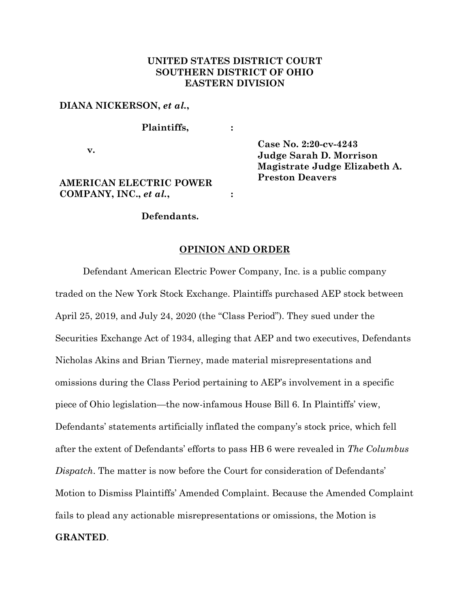### **UNITED STATES DISTRICT COURT SOUTHERN DISTRICT OF OHIO EASTERN DIVISION**

#### **DIANA NICKERSON,** *et al.***,**

**Plaintiffs, :**

**v.**

## **AMERICAN ELECTRIC POWER COMPANY, INC.,** *et al.***,**

**Case No. 2:20-cv-4243 Judge Sarah D. Morrison Magistrate Judge Elizabeth A. Preston Deavers**

### **Defendants.**

#### **OPINION AND ORDER**

**:**

Defendant American Electric Power Company, Inc. is a public company traded on the New York Stock Exchange. Plaintiffs purchased AEP stock between April 25, 2019, and July 24, 2020 (the "Class Period"). They sued under the Securities Exchange Act of 1934, alleging that AEP and two executives, Defendants Nicholas Akins and Brian Tierney, made material misrepresentations and omissions during the Class Period pertaining to AEP's involvement in a specific piece of Ohio legislation—the now-infamous House Bill 6. In Plaintiffs' view, Defendants' statements artificially inflated the company's stock price, which fell after the extent of Defendants' efforts to pass HB 6 were revealed in *The Columbus Dispatch*. The matter is now before the Court for consideration of Defendants' Motion to Dismiss Plaintiffs' Amended Complaint. Because the Amended Complaint fails to plead any actionable misrepresentations or omissions, the Motion is **GRANTED**.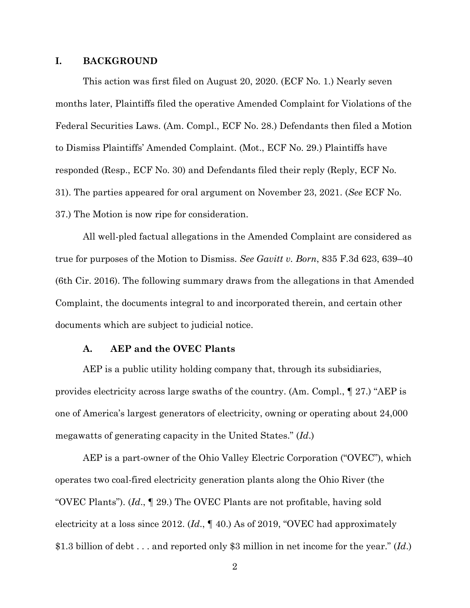#### **I. BACKGROUND**

This action was first filed on August 20, 2020. (ECF No. 1.) Nearly seven months later, Plaintiffs filed the operative Amended Complaint for Violations of the Federal Securities Laws. (Am. Compl., ECF No. 28.) Defendants then filed a Motion to Dismiss Plaintiffs' Amended Complaint. (Mot., ECF No. 29.) Plaintiffs have responded (Resp., ECF No. 30) and Defendants filed their reply (Reply, ECF No. 31). The parties appeared for oral argument on November 23, 2021. (*See* ECF No. 37.) The Motion is now ripe for consideration.

All well-pled factual allegations in the Amended Complaint are considered as true for purposes of the Motion to Dismiss. *See Gavitt v. Born*, 835 F.3d 623, 639–40 (6th Cir. 2016). The following summary draws from the allegations in that Amended Complaint, the documents integral to and incorporated therein, and certain other documents which are subject to judicial notice.

### **A. AEP and the OVEC Plants**

AEP is a public utility holding company that, through its subsidiaries, provides electricity across large swaths of the country. (Am. Compl., ¶ 27.) "AEP is one of America's largest generators of electricity, owning or operating about 24,000 megawatts of generating capacity in the United States." (*Id*.)

AEP is a part-owner of the Ohio Valley Electric Corporation ("OVEC"), which operates two coal-fired electricity generation plants along the Ohio River (the "OVEC Plants"). (*Id*., ¶ 29.) The OVEC Plants are not profitable, having sold electricity at a loss since 2012. (*Id*., ¶ 40.) As of 2019, "OVEC had approximately \$1.3 billion of debt . . . and reported only \$3 million in net income for the year." (*Id*.)

2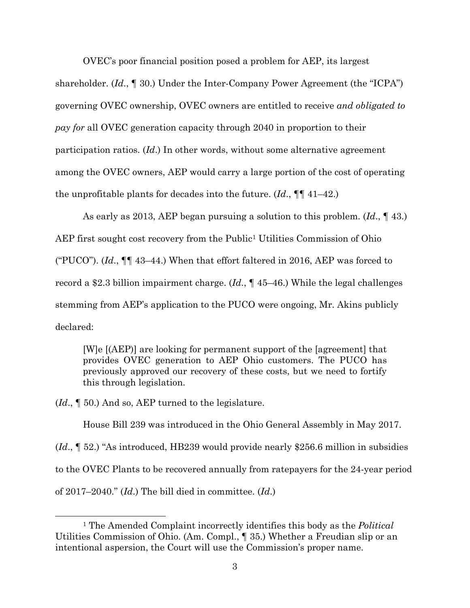OVEC's poor financial position posed a problem for AEP, its largest

shareholder. (*Id*., ¶ 30.) Under the Inter-Company Power Agreement (the "ICPA") governing OVEC ownership, OVEC owners are entitled to receive *and obligated to pay for* all OVEC generation capacity through 2040 in proportion to their participation ratios. (*Id*.) In other words, without some alternative agreement among the OVEC owners, AEP would carry a large portion of the cost of operating the unprofitable plants for decades into the future. (*Id*., ¶¶ 41–42.)

As early as 2013, AEP began pursuing a solution to this problem. (*Id*., ¶ 43.) AEP first sought cost recovery from the Public<sup>[1](#page-2-0)</sup> Utilities Commission of Ohio ("PUCO"). (*Id*., ¶¶ 43–44.) When that effort faltered in 2016, AEP was forced to record a \$2.3 billion impairment charge. (*Id*., ¶ 45–46.) While the legal challenges stemming from AEP's application to the PUCO were ongoing, Mr. Akins publicly declared:

[W]e [(AEP)] are looking for permanent support of the [agreement] that provides OVEC generation to AEP Ohio customers. The PUCO has previously approved our recovery of these costs, but we need to fortify this through legislation.

(*Id*., ¶ 50.) And so, AEP turned to the legislature.

House Bill 239 was introduced in the Ohio General Assembly in May 2017.

(*Id*., ¶ 52.) "As introduced, HB239 would provide nearly \$256.6 million in subsidies to the OVEC Plants to be recovered annually from ratepayers for the 24-year period of 2017–2040." (*Id*.) The bill died in committee. (*Id*.)

<span id="page-2-0"></span><sup>1</sup> The Amended Complaint incorrectly identifies this body as the *Political* Utilities Commission of Ohio. (Am. Compl., ¶ 35.) Whether a Freudian slip or an intentional aspersion, the Court will use the Commission's proper name.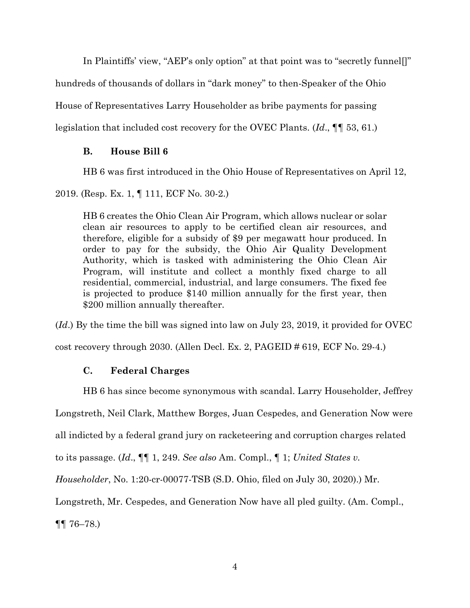In Plaintiffs' view, "AEP's only option" at that point was to "secretly funnel[]"

hundreds of thousands of dollars in "dark money" to then-Speaker of the Ohio

House of Representatives Larry Householder as bribe payments for passing

legislation that included cost recovery for the OVEC Plants. (*Id*., ¶¶ 53, 61.)

## **B. House Bill 6**

HB 6 was first introduced in the Ohio House of Representatives on April 12,

2019. (Resp. Ex. 1, ¶ 111, ECF No. 30-2.)

HB 6 creates the Ohio Clean Air Program, which allows nuclear or solar clean air resources to apply to be certified clean air resources, and therefore, eligible for a subsidy of \$9 per megawatt hour produced. In order to pay for the subsidy, the Ohio Air Quality Development Authority, which is tasked with administering the Ohio Clean Air Program, will institute and collect a monthly fixed charge to all residential, commercial, industrial, and large consumers. The fixed fee is projected to produce \$140 million annually for the first year, then \$200 million annually thereafter.

(*Id*.) By the time the bill was signed into law on July 23, 2019, it provided for OVEC

cost recovery through 2030. (Allen Decl. Ex. 2, PAGEID # 619, ECF No. 29-4.)

## **C. Federal Charges**

HB 6 has since become synonymous with scandal. Larry Householder, Jeffrey

Longstreth, Neil Clark, Matthew Borges, Juan Cespedes, and Generation Now were

all indicted by a federal grand jury on racketeering and corruption charges related

to its passage. (*Id*., ¶¶ 1, 249. *See also* Am. Compl., ¶ 1; *United States v.* 

*Householder*, No. 1:20-cr-00077-TSB (S.D. Ohio, filed on July 30, 2020).) Mr.

Longstreth, Mr. Cespedes, and Generation Now have all pled guilty. (Am. Compl.,

¶¶ 76–78.)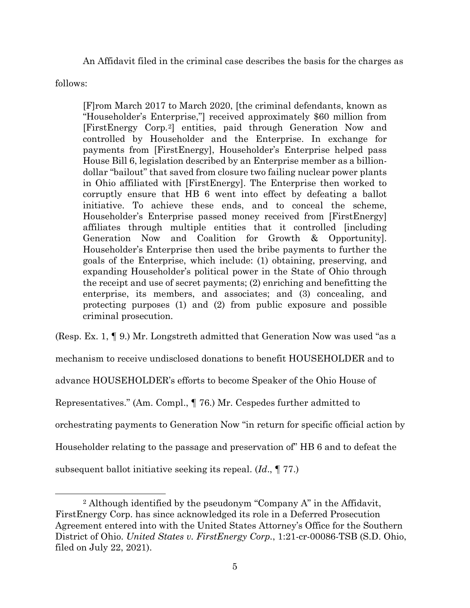An Affidavit filed in the criminal case describes the basis for the charges as

follows:

[F]rom March 2017 to March 2020, [the criminal defendants, known as "Householder's Enterprise,"] received approximately \$60 million from [FirstEnergy Corp.[2\]](#page-4-0) entities, paid through Generation Now and controlled by Householder and the Enterprise. In exchange for payments from [FirstEnergy], Householder's Enterprise helped pass House Bill 6, legislation described by an Enterprise member as a billiondollar "bailout" that saved from closure two failing nuclear power plants in Ohio affiliated with [FirstEnergy]. The Enterprise then worked to corruptly ensure that HB 6 went into effect by defeating a ballot initiative. To achieve these ends, and to conceal the scheme, Householder's Enterprise passed money received from [FirstEnergy] affiliates through multiple entities that it controlled [including Generation Now and Coalition for Growth & Opportunity]. Householder's Enterprise then used the bribe payments to further the goals of the Enterprise, which include: (1) obtaining, preserving, and expanding Householder's political power in the State of Ohio through the receipt and use of secret payments; (2) enriching and benefitting the enterprise, its members, and associates; and (3) concealing, and protecting purposes (1) and (2) from public exposure and possible criminal prosecution.

(Resp. Ex. 1, ¶ 9.) Mr. Longstreth admitted that Generation Now was used "as a mechanism to receive undisclosed donations to benefit HOUSEHOLDER and to advance HOUSEHOLDER's efforts to become Speaker of the Ohio House of Representatives." (Am. Compl., ¶ 76.) Mr. Cespedes further admitted to orchestrating payments to Generation Now "in return for specific official action by Householder relating to the passage and preservation of" HB 6 and to defeat the subsequent ballot initiative seeking its repeal. (*Id*., ¶ 77.)

<span id="page-4-0"></span><sup>2</sup> Although identified by the pseudonym "Company A" in the Affidavit, FirstEnergy Corp. has since acknowledged its role in a Deferred Prosecution Agreement entered into with the United States Attorney's Office for the Southern District of Ohio. *United States v. FirstEnergy Corp.*, 1:21-cr-00086-TSB (S.D. Ohio, filed on July 22, 2021).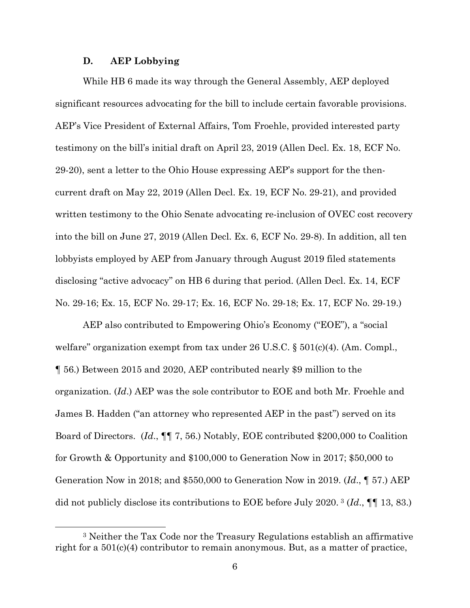#### **D. AEP Lobbying**

While HB 6 made its way through the General Assembly, AEP deployed significant resources advocating for the bill to include certain favorable provisions. AEP's Vice President of External Affairs, Tom Froehle, provided interested party testimony on the bill's initial draft on April 23, 2019 (Allen Decl. Ex. 18, ECF No. 29-20), sent a letter to the Ohio House expressing AEP's support for the thencurrent draft on May 22, 2019 (Allen Decl. Ex. 19, ECF No. 29-21), and provided written testimony to the Ohio Senate advocating re-inclusion of OVEC cost recovery into the bill on June 27, 2019 (Allen Decl. Ex. 6, ECF No. 29-8). In addition, all ten lobbyists employed by AEP from January through August 2019 filed statements disclosing "active advocacy" on HB 6 during that period. (Allen Decl. Ex. 14, ECF No. 29-16; Ex. 15, ECF No. 29-17; Ex. 16, ECF No. 29-18; Ex. 17, ECF No. 29-19.)

AEP also contributed to Empowering Ohio's Economy ("EOE"), a "social welfare" organization exempt from tax under 26 U.S.C. § 501(c)(4). (Am. Compl., ¶ 56.) Between 2015 and 2020, AEP contributed nearly \$9 million to the organization. (*Id*.) AEP was the sole contributor to EOE and both Mr. Froehle and James B. Hadden ("an attorney who represented AEP in the past") served on its Board of Directors. (*Id*., ¶¶ 7, 56.) Notably, EOE contributed \$200,000 to Coalition for Growth & Opportunity and \$100,000 to Generation Now in 2017; \$50,000 to Generation Now in 2018; and \$550,000 to Generation Now in 2019. (*Id*., ¶ 57.) AEP did not publicly disclose its contributions to EOE before July 2020. [3](#page-5-0) (*Id*., ¶¶ 13, 83.)

<span id="page-5-0"></span><sup>3</sup> Neither the Tax Code nor the Treasury Regulations establish an affirmative right for a 501(c)(4) contributor to remain anonymous. But, as a matter of practice,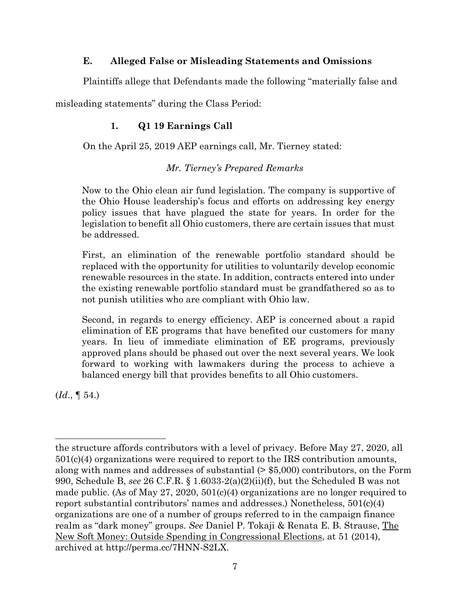## **E. Alleged False or Misleading Statements and Omissions**

Plaintiffs allege that Defendants made the following "materially false and

misleading statements" during the Class Period:

# **1. Q1 19 Earnings Call**

On the April 25, 2019 AEP earnings call, Mr. Tierney stated:

# *Mr. Tierney's Prepared Remarks*

Now to the Ohio clean air fund legislation. The company is supportive of the Ohio House leadership's focus and efforts on addressing key energy policy issues that have plagued the state for years. In order for the legislation to benefit all Ohio customers, there are certain issues that must be addressed.

First, an elimination of the renewable portfolio standard should be replaced with the opportunity for utilities to voluntarily develop economic renewable resources in the state. In addition, contracts entered into under the existing renewable portfolio standard must be grandfathered so as to not punish utilities who are compliant with Ohio law.

Second, in regards to energy efficiency. AEP is concerned about a rapid elimination of EE programs that have benefited our customers for many years. In lieu of immediate elimination of EE programs, previously approved plans should be phased out over the next several years. We look forward to working with lawmakers during the process to achieve a balanced energy bill that provides benefits to all Ohio customers.

(*Id*., ¶ 54.)

the structure affords contributors with a level of privacy. Before May 27, 2020, all 501(c)(4) organizations were required to report to the IRS contribution amounts, along with names and addresses of substantial (> \$5,000) contributors, on the Form 990, Schedule B, *see* 26 C.F.R. § 1.6033-2(a)(2)(ii)(f), but the Scheduled B was not made public. (As of May 27, 2020,  $501(c)(4)$  organizations are no longer required to report substantial contributors' names and addresses.) Nonetheless,  $501(c)(4)$ organizations are one of a number of groups referred to in the campaign finance realm as "dark money" groups. *See* Daniel P. Tokaji & Renata E. B. Strause, The New Soft Money: Outside Spending in Congressional Elections, at 51 (2014), archived at http://perma.cc/7HNN-S2LX.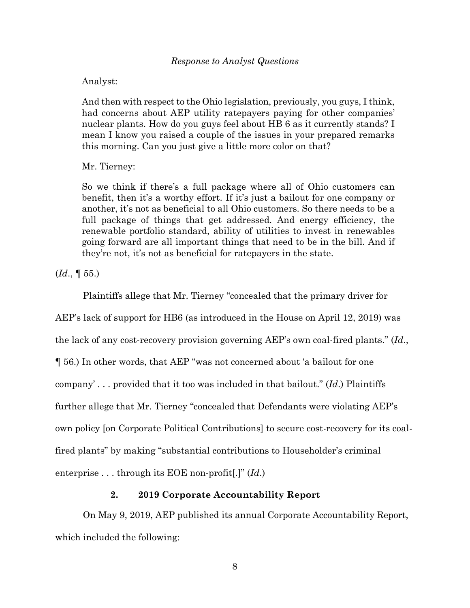Analyst:

And then with respect to the Ohio legislation, previously, you guys, I think, had concerns about AEP utility ratepayers paying for other companies' nuclear plants. How do you guys feel about HB 6 as it currently stands? I mean I know you raised a couple of the issues in your prepared remarks this morning. Can you just give a little more color on that?

Mr. Tierney:

So we think if there's a full package where all of Ohio customers can benefit, then it's a worthy effort. If it's just a bailout for one company or another, it's not as beneficial to all Ohio customers. So there needs to be a full package of things that get addressed. And energy efficiency, the renewable portfolio standard, ability of utilities to invest in renewables going forward are all important things that need to be in the bill. And if they're not, it's not as beneficial for ratepayers in the state.

(*Id*., ¶ 55.)

Plaintiffs allege that Mr. Tierney "concealed that the primary driver for

AEP's lack of support for HB6 (as introduced in the House on April 12, 2019) was

the lack of any cost-recovery provision governing AEP's own coal-fired plants." (*Id*.,

¶ 56.) In other words, that AEP "was not concerned about 'a bailout for one

company' . . . provided that it too was included in that bailout." (*Id*.) Plaintiffs

further allege that Mr. Tierney "concealed that Defendants were violating AEP's

own policy [on Corporate Political Contributions] to secure cost-recovery for its coal-

fired plants" by making "substantial contributions to Householder's criminal

enterprise . . . through its EOE non-profit[.]" (*Id*.)

### **2. 2019 Corporate Accountability Report**

On May 9, 2019, AEP published its annual Corporate Accountability Report, which included the following: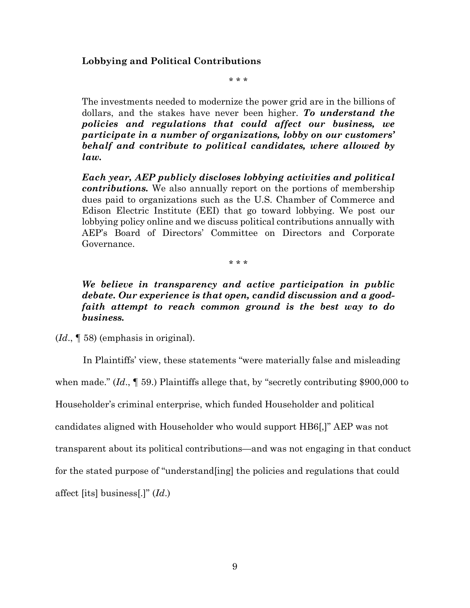### **Lobbying and Political Contributions**

\* \* \*

The investments needed to modernize the power grid are in the billions of dollars, and the stakes have never been higher. *To understand the policies and regulations that could affect our business, we participate in a number of organizations, lobby on our customers' behalf and contribute to political candidates, where allowed by law.*

*Each year, AEP publicly discloses lobbying activities and political contributions.* We also annually report on the portions of membership dues paid to organizations such as the U.S. Chamber of Commerce and Edison Electric Institute (EEI) that go toward lobbying. We post our lobbying policy online and we discuss political contributions annually with AEP's Board of Directors' Committee on Directors and Corporate Governance.

\* \* \*

*We believe in transparency and active participation in public debate. Our experience is that open, candid discussion and a goodfaith attempt to reach common ground is the best way to do business.*

(*Id*., ¶ 58) (emphasis in original).

In Plaintiffs' view, these statements "were materially false and misleading when made." (*Id.*,  $\llbracket$  59.) Plaintiffs allege that, by "secretly contributing \$900,000 to

Householder's criminal enterprise, which funded Householder and political

candidates aligned with Householder who would support HB6[,]" AEP was not

transparent about its political contributions—and was not engaging in that conduct

for the stated purpose of "understand[ing] the policies and regulations that could

affect [its] business[.]" (*Id*.)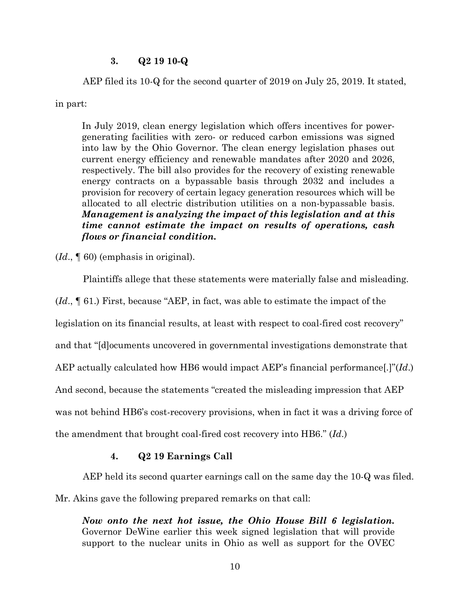#### **3. Q2 19 10-Q**

AEP filed its 10-Q for the second quarter of 2019 on July 25, 2019. It stated,

in part:

In July 2019, clean energy legislation which offers incentives for powergenerating facilities with zero- or reduced carbon emissions was signed into law by the Ohio Governor. The clean energy legislation phases out current energy efficiency and renewable mandates after 2020 and 2026, respectively. The bill also provides for the recovery of existing renewable energy contracts on a bypassable basis through 2032 and includes a provision for recovery of certain legacy generation resources which will be allocated to all electric distribution utilities on a non-bypassable basis. *Management is analyzing the impact of this legislation and at this time cannot estimate the impact on results of operations, cash flows or financial condition.*

(*Id*., ¶ 60) (emphasis in original).

Plaintiffs allege that these statements were materially false and misleading.

(*Id*., ¶ 61.) First, because "AEP, in fact, was able to estimate the impact of the

legislation on its financial results, at least with respect to coal-fired cost recovery"

and that "[d]ocuments uncovered in governmental investigations demonstrate that

AEP actually calculated how HB6 would impact AEP's financial performance[.]"(*Id*.)

And second, because the statements "created the misleading impression that AEP

was not behind HB6's cost-recovery provisions, when in fact it was a driving force of

the amendment that brought coal-fired cost recovery into HB6." (*Id*.)

#### **4. Q2 19 Earnings Call**

AEP held its second quarter earnings call on the same day the 10-Q was filed.

Mr. Akins gave the following prepared remarks on that call:

*Now onto the next hot issue, the Ohio House Bill 6 legislation.* Governor DeWine earlier this week signed legislation that will provide support to the nuclear units in Ohio as well as support for the OVEC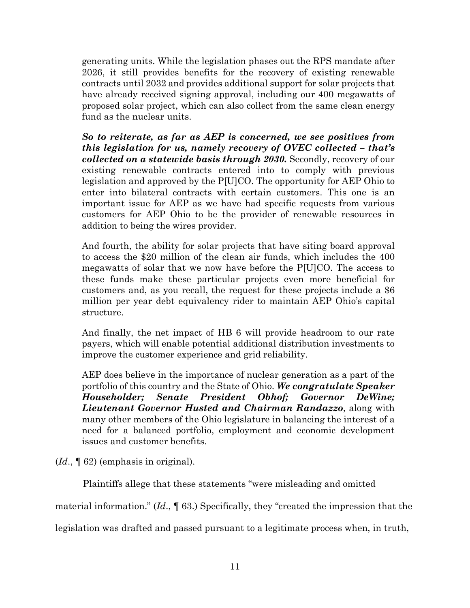generating units. While the legislation phases out the RPS mandate after 2026, it still provides benefits for the recovery of existing renewable contracts until 2032 and provides additional support for solar projects that have already received signing approval, including our 400 megawatts of proposed solar project, which can also collect from the same clean energy fund as the nuclear units.

*So to reiterate, as far as AEP is concerned, we see positives from this legislation for us, namely recovery of OVEC collected – that's collected on a statewide basis through 2030.* Secondly, recovery of our existing renewable contracts entered into to comply with previous legislation and approved by the P[U]CO. The opportunity for AEP Ohio to enter into bilateral contracts with certain customers. This one is an important issue for AEP as we have had specific requests from various customers for AEP Ohio to be the provider of renewable resources in addition to being the wires provider.

And fourth, the ability for solar projects that have siting board approval to access the \$20 million of the clean air funds, which includes the 400 megawatts of solar that we now have before the P[U]CO. The access to these funds make these particular projects even more beneficial for customers and, as you recall, the request for these projects include a \$6 million per year debt equivalency rider to maintain AEP Ohio's capital structure.

And finally, the net impact of HB 6 will provide headroom to our rate payers, which will enable potential additional distribution investments to improve the customer experience and grid reliability.

AEP does believe in the importance of nuclear generation as a part of the portfolio of this country and the State of Ohio. *We congratulate Speaker Householder; Senate President Obhof; Governor DeWine; Lieutenant Governor Husted and Chairman Randazzo*, along with many other members of the Ohio legislature in balancing the interest of a need for a balanced portfolio, employment and economic development issues and customer benefits.

(*Id*., ¶ 62) (emphasis in original).

Plaintiffs allege that these statements "were misleading and omitted

material information." (*Id*., ¶ 63.) Specifically, they "created the impression that the

legislation was drafted and passed pursuant to a legitimate process when, in truth,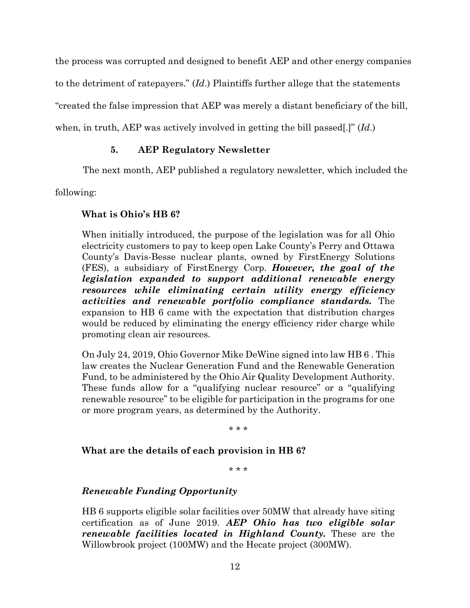the process was corrupted and designed to benefit AEP and other energy companies

to the detriment of ratepayers." (*Id*.) Plaintiffs further allege that the statements

"created the false impression that AEP was merely a distant beneficiary of the bill,

when, in truth, AEP was actively involved in getting the bill passed[.]" (*Id*.)

# **5. AEP Regulatory Newsletter**

The next month, AEP published a regulatory newsletter, which included the

following:

# **What is Ohio's HB 6?**

When initially introduced, the purpose of the legislation was for all Ohio electricity customers to pay to keep open Lake County's Perry and Ottawa County's Davis-Besse nuclear plants, owned by FirstEnergy Solutions (FES), a subsidiary of FirstEnergy Corp. *However, the goal of the legislation expanded to support additional renewable energy resources while eliminating certain utility energy efficiency activities and renewable portfolio compliance standards.* The expansion to HB 6 came with the expectation that distribution charges would be reduced by eliminating the energy efficiency rider charge while promoting clean air resources.

On July 24, 2019, Ohio Governor Mike DeWine signed into law HB 6 . This law creates the Nuclear Generation Fund and the Renewable Generation Fund, to be administered by the Ohio Air Quality Development Authority. These funds allow for a "qualifying nuclear resource" or a "qualifying renewable resource" to be eligible for participation in the programs for one or more program years, as determined by the Authority.

\* \* \*

# **What are the details of each provision in HB 6?**

\* \* \*

# *Renewable Funding Opportunity*

HB 6 supports eligible solar facilities over 50MW that already have siting certification as of June 2019. *AEP Ohio has two eligible solar renewable facilities located in Highland County.* These are the Willowbrook project (100MW) and the Hecate project (300MW).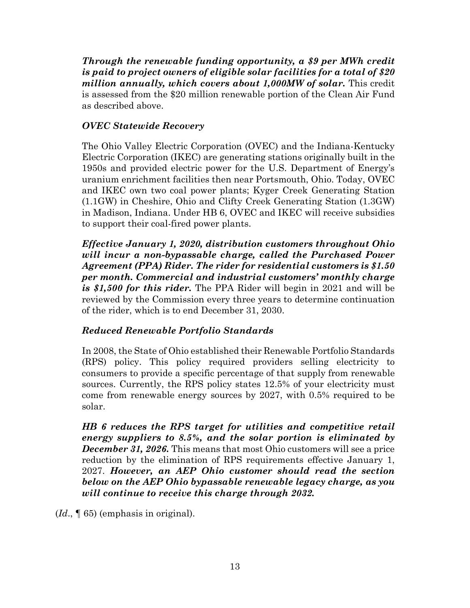*Through the renewable funding opportunity, a \$9 per MWh credit is paid to project owners of eligible solar facilities for a total of \$20 million annually, which covers about 1,000MW of solar.* This credit is assessed from the \$20 million renewable portion of the Clean Air Fund as described above.

# *OVEC Statewide Recovery*

The Ohio Valley Electric Corporation (OVEC) and the Indiana-Kentucky Electric Corporation (IKEC) are generating stations originally built in the 1950s and provided electric power for the U.S. Department of Energy's uranium enrichment facilities then near Portsmouth, Ohio. Today, OVEC and IKEC own two coal power plants; Kyger Creek Generating Station (1.1GW) in Cheshire, Ohio and Clifty Creek Generating Station (1.3GW) in Madison, Indiana. Under HB 6, OVEC and IKEC will receive subsidies to support their coal-fired power plants.

*Effective January 1, 2020, distribution customers throughout Ohio will incur a non-bypassable charge, called the Purchased Power Agreement (PPA) Rider. The rider for residential customers is \$1.50 per month. Commercial and industrial customers' monthly charge is \$1,500 for this rider.* The PPA Rider will begin in 2021 and will be reviewed by the Commission every three years to determine continuation of the rider, which is to end December 31, 2030.

# *Reduced Renewable Portfolio Standards*

In 2008, the State of Ohio established their Renewable Portfolio Standards (RPS) policy. This policy required providers selling electricity to consumers to provide a specific percentage of that supply from renewable sources. Currently, the RPS policy states 12.5% of your electricity must come from renewable energy sources by 2027, with 0.5% required to be solar.

*HB 6 reduces the RPS target for utilities and competitive retail energy suppliers to 8.5%, and the solar portion is eliminated by December 31, 2026.* This means that most Ohio customers will see a price reduction by the elimination of RPS requirements effective January 1, 2027. *However, an AEP Ohio customer should read the section below on the AEP Ohio bypassable renewable legacy charge, as you will continue to receive this charge through 2032.*

(*Id*., ¶ 65) (emphasis in original).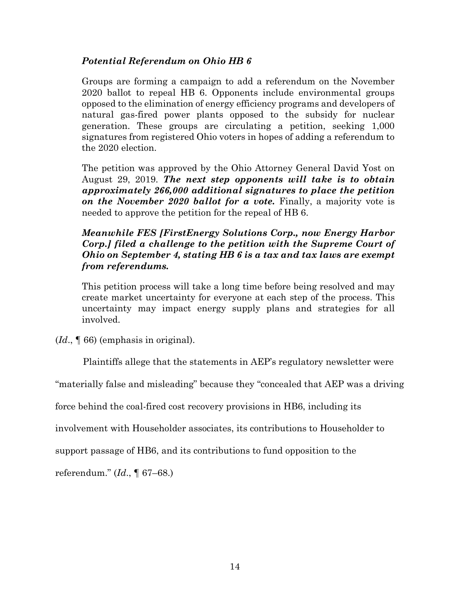## *Potential Referendum on Ohio HB 6*

Groups are forming a campaign to add a referendum on the November 2020 ballot to repeal HB 6. Opponents include environmental groups opposed to the elimination of energy efficiency programs and developers of natural gas-fired power plants opposed to the subsidy for nuclear generation. These groups are circulating a petition, seeking 1,000 signatures from registered Ohio voters in hopes of adding a referendum to the 2020 election.

The petition was approved by the Ohio Attorney General David Yost on August 29, 2019. *The next step opponents will take is to obtain approximately 266,000 additional signatures to place the petition on the November 2020 ballot for a vote.* Finally, a majority vote is needed to approve the petition for the repeal of HB 6.

## *Meanwhile FES [FirstEnergy Solutions Corp., now Energy Harbor Corp.] filed a challenge to the petition with the Supreme Court of Ohio on September 4, stating HB 6 is a tax and tax laws are exempt from referendums.*

This petition process will take a long time before being resolved and may create market uncertainty for everyone at each step of the process. This uncertainty may impact energy supply plans and strategies for all involved.

(*Id*., ¶ 66) (emphasis in original).

Plaintiffs allege that the statements in AEP's regulatory newsletter were

"materially false and misleading" because they "concealed that AEP was a driving

force behind the coal-fired cost recovery provisions in HB6, including its

involvement with Householder associates, its contributions to Householder to

support passage of HB6, and its contributions to fund opposition to the

referendum." (*Id*., ¶ 67–68.)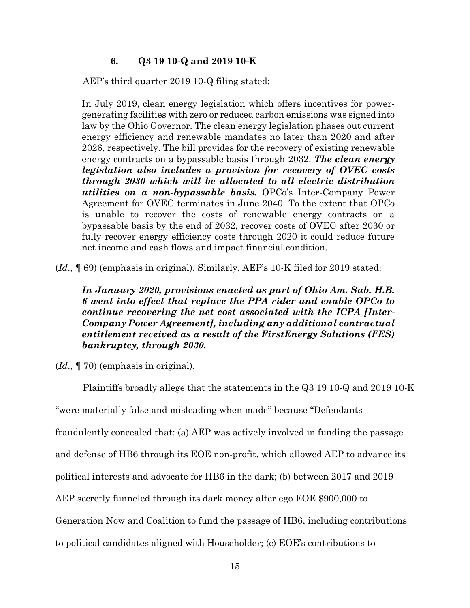### **6. Q3 19 10-Q and 2019 10-K**

AEP's third quarter 2019 10-Q filing stated:

In July 2019, clean energy legislation which offers incentives for powergenerating facilities with zero or reduced carbon emissions was signed into law by the Ohio Governor. The clean energy legislation phases out current energy efficiency and renewable mandates no later than 2020 and after 2026, respectively. The bill provides for the recovery of existing renewable energy contracts on a bypassable basis through 2032. *The clean energy legislation also includes a provision for recovery of OVEC costs through 2030 which will be allocated to all electric distribution utilities on a non-bypassable basis.* OPCo's Inter-Company Power Agreement for OVEC terminates in June 2040. To the extent that OPCo is unable to recover the costs of renewable energy contracts on a bypassable basis by the end of 2032, recover costs of OVEC after 2030 or fully recover energy efficiency costs through 2020 it could reduce future net income and cash flows and impact financial condition.

(*Id*., ¶ 69) (emphasis in original). Similarly, AEP's 10-K filed for 2019 stated:

*In January 2020, provisions enacted as part of Ohio Am. Sub. H.B. 6 went into effect that replace the PPA rider and enable OPCo to continue recovering the net cost associated with the ICPA [Inter-Company Power Agreement], including any additional contractual entitlement received as a result of the FirstEnergy Solutions (FES) bankruptcy, through 2030.*

(*Id*., ¶ 70) (emphasis in original).

Plaintiffs broadly allege that the statements in the Q3 19 10-Q and 2019 10-K "were materially false and misleading when made" because "Defendants fraudulently concealed that: (a) AEP was actively involved in funding the passage and defense of HB6 through its EOE non-profit, which allowed AEP to advance its political interests and advocate for HB6 in the dark; (b) between 2017 and 2019 AEP secretly funneled through its dark money alter ego EOE \$900,000 to Generation Now and Coalition to fund the passage of HB6, including contributions to political candidates aligned with Householder; (c) EOE's contributions to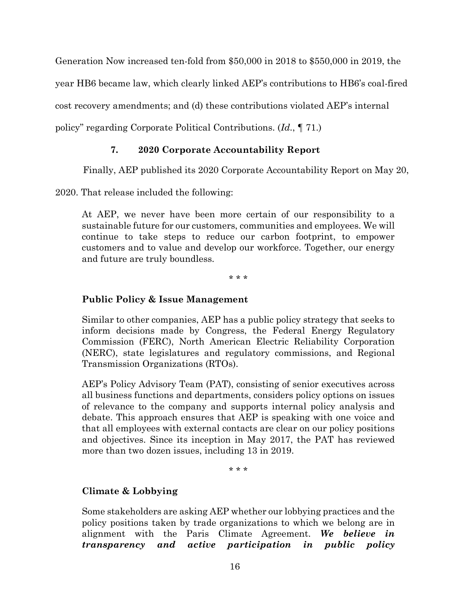Generation Now increased ten-fold from \$50,000 in 2018 to \$550,000 in 2019, the

year HB6 became law, which clearly linked AEP's contributions to HB6's coal-fired

cost recovery amendments; and (d) these contributions violated AEP's internal

policy" regarding Corporate Political Contributions. (*Id*., ¶ 71.)

### **7. 2020 Corporate Accountability Report**

Finally, AEP published its 2020 Corporate Accountability Report on May 20,

2020. That release included the following:

At AEP, we never have been more certain of our responsibility to a sustainable future for our customers, communities and employees. We will continue to take steps to reduce our carbon footprint, to empower customers and to value and develop our workforce. Together, our energy and future are truly boundless.

\* \* \*

## **Public Policy & Issue Management**

Similar to other companies, AEP has a public policy strategy that seeks to inform decisions made by Congress, the Federal Energy Regulatory Commission (FERC), North American Electric Reliability Corporation (NERC), state legislatures and regulatory commissions, and Regional Transmission Organizations (RTOs).

AEP's Policy Advisory Team (PAT), consisting of senior executives across all business functions and departments, considers policy options on issues of relevance to the company and supports internal policy analysis and debate. This approach ensures that AEP is speaking with one voice and that all employees with external contacts are clear on our policy positions and objectives. Since its inception in May 2017, the PAT has reviewed more than two dozen issues, including 13 in 2019.

\* \* \*

## **Climate & Lobbying**

Some stakeholders are asking AEP whether our lobbying practices and the policy positions taken by trade organizations to which we belong are in alignment with the Paris Climate Agreement. *We believe in transparency and active participation in public policy*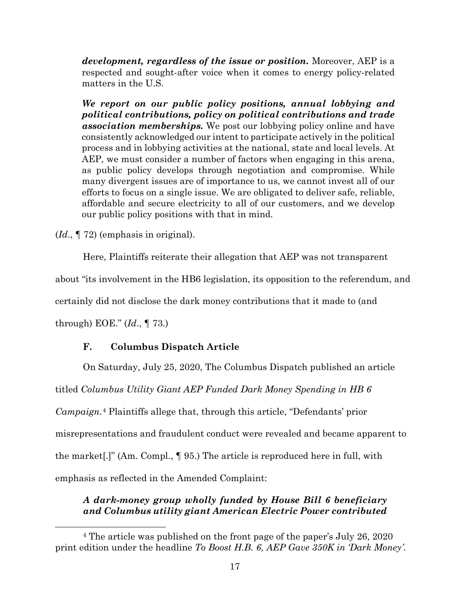*development, regardless of the issue or position.* Moreover, AEP is a respected and sought-after voice when it comes to energy policy-related matters in the U.S.

*We report on our public policy positions, annual lobbying and political contributions, policy on political contributions and trade association memberships.* We post our lobbying policy online and have consistently acknowledged our intent to participate actively in the political process and in lobbying activities at the national, state and local levels. At AEP, we must consider a number of factors when engaging in this arena, as public policy develops through negotiation and compromise. While many divergent issues are of importance to us, we cannot invest all of our efforts to focus on a single issue. We are obligated to deliver safe, reliable, affordable and secure electricity to all of our customers, and we develop our public policy positions with that in mind.

(*Id*., ¶ 72) (emphasis in original).

Here, Plaintiffs reiterate their allegation that AEP was not transparent

about "its involvement in the HB6 legislation, its opposition to the referendum, and

certainly did not disclose the dark money contributions that it made to (and

through) EOE." (*Id*., ¶ 73.)

### **F. Columbus Dispatch Article**

On Saturday, July 25, 2020, The Columbus Dispatch published an article

titled *Columbus Utility Giant AEP Funded Dark Money Spending in HB 6* 

*Campaign*.[4](#page-16-0) Plaintiffs allege that, through this article, "Defendants' prior

misrepresentations and fraudulent conduct were revealed and became apparent to

the market[.]" (Am. Compl., ¶ 95.) The article is reproduced here in full, with

emphasis as reflected in the Amended Complaint:

## *A dark-money group wholly funded by House Bill 6 beneficiary and Columbus utility giant American Electric Power contributed*

<span id="page-16-0"></span><sup>4</sup> The article was published on the front page of the paper's July 26, 2020 print edition under the headline *To Boost H.B. 6, AEP Gave 350K in 'Dark Money'*.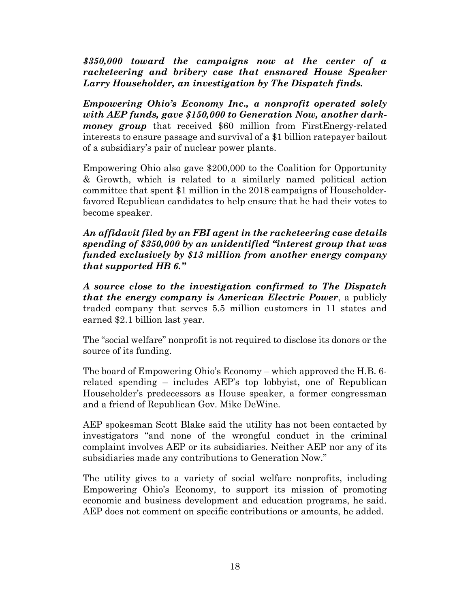*\$350,000 toward the campaigns now at the center of a racketeering and bribery case that ensnared House Speaker Larry Householder, an investigation by The Dispatch finds.*

*Empowering Ohio's Economy Inc., a nonprofit operated solely with AEP funds, gave \$150,000 to Generation Now, another darkmoney group* that received \$60 million from FirstEnergy-related interests to ensure passage and survival of a \$1 billion ratepayer bailout of a subsidiary's pair of nuclear power plants.

Empowering Ohio also gave \$200,000 to the Coalition for Opportunity & Growth, which is related to a similarly named political action committee that spent \$1 million in the 2018 campaigns of Householderfavored Republican candidates to help ensure that he had their votes to become speaker.

### *An affidavit filed by an FBI agent in the racketeering case details spending of \$350,000 by an unidentified "interest group that was funded exclusively by \$13 million from another energy company that supported HB 6."*

*A source close to the investigation confirmed to The Dispatch that the energy company is American Electric Power*, a publicly traded company that serves 5.5 million customers in 11 states and earned \$2.1 billion last year.

The "social welfare" nonprofit is not required to disclose its donors or the source of its funding.

The board of Empowering Ohio's Economy – which approved the H.B. 6 related spending – includes AEP's top lobbyist, one of Republican Householder's predecessors as House speaker, a former congressman and a friend of Republican Gov. Mike DeWine.

AEP spokesman Scott Blake said the utility has not been contacted by investigators "and none of the wrongful conduct in the criminal complaint involves AEP or its subsidiaries. Neither AEP nor any of its subsidiaries made any contributions to Generation Now."

The utility gives to a variety of social welfare nonprofits, including Empowering Ohio's Economy, to support its mission of promoting economic and business development and education programs, he said. AEP does not comment on specific contributions or amounts, he added.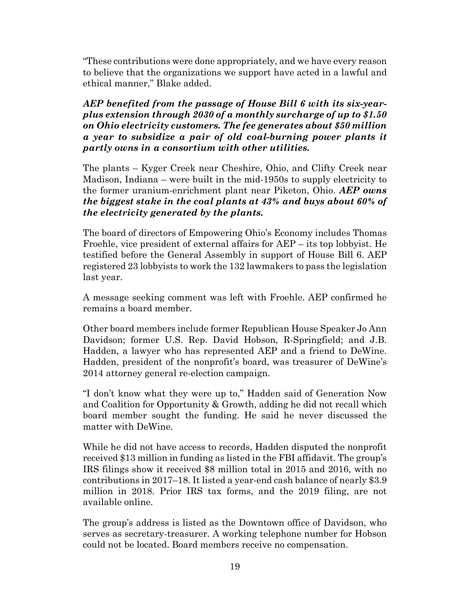"These contributions were done appropriately, and we have every reason to believe that the organizations we support have acted in a lawful and ethical manner," Blake added.

*AEP benefited from the passage of House Bill 6 with its six-yearplus extension through 2030 of a monthly surcharge of up to \$1.50 on Ohio electricity customers. The fee generates about \$50 million a year to subsidize a pair of old coal-burning power plants it partly owns in a consortium with other utilities.* 

The plants – Kyger Creek near Cheshire, Ohio, and Clifty Creek near Madison, Indiana – were built in the mid-1950s to supply electricity to the former uranium-enrichment plant near Piketon, Ohio. *AEP owns the biggest stake in the coal plants at 43% and buys about 60% of the electricity generated by the plants.*

The board of directors of Empowering Ohio's Economy includes Thomas Froehle, vice president of external affairs for AEP – its top lobbyist. He testified before the General Assembly in support of House Bill 6. AEP registered 23 lobbyists to work the 132 lawmakers to pass the legislation last year.

A message seeking comment was left with Froehle. AEP confirmed he remains a board member.

Other board members include former Republican House Speaker Jo Ann Davidson; former U.S. Rep. David Hobson, R-Springfield; and J.B. Hadden, a lawyer who has represented AEP and a friend to DeWine. Hadden, president of the nonprofit's board, was treasurer of DeWine's 2014 attorney general re-election campaign.

"I don't know what they were up to," Hadden said of Generation Now and Coalition for Opportunity & Growth, adding he did not recall which board member sought the funding. He said he never discussed the matter with DeWine.

While he did not have access to records, Hadden disputed the nonprofit received \$13 million in funding as listed in the FBI affidavit. The group's IRS filings show it received \$8 million total in 2015 and 2016, with no contributions in 2017–18. It listed a year-end cash balance of nearly \$3.9 million in 2018. Prior IRS tax forms, and the 2019 filing, are not available online.

The group's address is listed as the Downtown office of Davidson, who serves as secretary-treasurer. A working telephone number for Hobson could not be located. Board members receive no compensation.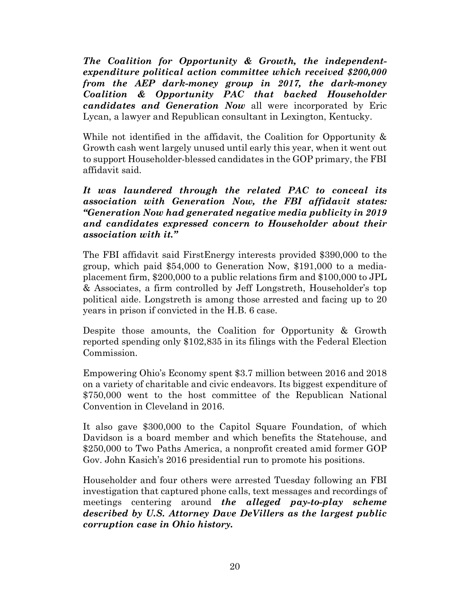*The Coalition for Opportunity & Growth, the independentexpenditure political action committee which received \$200,000 from the AEP dark-money group in 2017, the dark-money Coalition & Opportunity PAC that backed Householder candidates and Generation Now* all were incorporated by Eric Lycan, a lawyer and Republican consultant in Lexington, Kentucky.

While not identified in the affidavit, the Coalition for Opportunity  $\&$ Growth cash went largely unused until early this year, when it went out to support Householder-blessed candidates in the GOP primary, the FBI affidavit said.

*It was laundered through the related PAC to conceal its association with Generation Now, the FBI affidavit states: "Generation Now had generated negative media publicity in 2019 and candidates expressed concern to Householder about their association with it."*

The FBI affidavit said FirstEnergy interests provided \$390,000 to the group, which paid \$54,000 to Generation Now, \$191,000 to a mediaplacement firm, \$200,000 to a public relations firm and \$100,000 to JPL & Associates, a firm controlled by Jeff Longstreth, Householder's top political aide. Longstreth is among those arrested and facing up to 20 years in prison if convicted in the H.B. 6 case.

Despite those amounts, the Coalition for Opportunity & Growth reported spending only \$102,835 in its filings with the Federal Election Commission.

Empowering Ohio's Economy spent \$3.7 million between 2016 and 2018 on a variety of charitable and civic endeavors. Its biggest expenditure of \$750,000 went to the host committee of the Republican National Convention in Cleveland in 2016.

It also gave \$300,000 to the Capitol Square Foundation, of which Davidson is a board member and which benefits the Statehouse, and \$250,000 to Two Paths America, a nonprofit created amid former GOP Gov. John Kasich's 2016 presidential run to promote his positions.

Householder and four others were arrested Tuesday following an FBI investigation that captured phone calls, text messages and recordings of meetings centering around *the alleged pay-to-play scheme described by U.S. Attorney Dave DeVillers as the largest public corruption case in Ohio history.*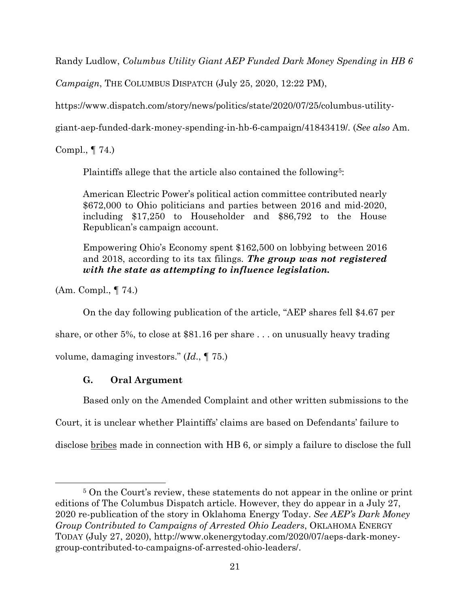Randy Ludlow, *Columbus Utility Giant AEP Funded Dark Money Spending in HB 6* 

*Campaign*, THE COLUMBUS DISPATCH (July 25, 2020, 12:22 PM),

https://www.dispatch.com/story/news/politics/state/2020/07/25/columbus-utility-

giant-aep-funded-dark-money-spending-in-hb-6-campaign/41843419/. (*See also* Am.

Compl., ¶ 74.)

Plaintiffs allege that the article also contained the following<sup>[5](#page-20-0)</sup>:

American Electric Power's political action committee contributed nearly \$672,000 to Ohio politicians and parties between 2016 and mid-2020, including \$17,250 to Householder and \$86,792 to the House Republican's campaign account.

Empowering Ohio's Economy spent \$162,500 on lobbying between 2016 and 2018, according to its tax filings. *The group was not registered with the state as attempting to influence legislation.*

(Am. Compl., ¶ 74.)

On the day following publication of the article, "AEP shares fell \$4.67 per

share, or other 5%, to close at \$81.16 per share . . . on unusually heavy trading

volume, damaging investors." (*Id*., ¶ 75.)

# **G. Oral Argument**

Based only on the Amended Complaint and other written submissions to the

Court, it is unclear whether Plaintiffs' claims are based on Defendants' failure to

disclose bribes made in connection with HB 6, or simply a failure to disclose the full

<span id="page-20-0"></span><sup>5</sup> On the Court's review, these statements do not appear in the online or print editions of The Columbus Dispatch article. However, they do appear in a July 27, 2020 re-publication of the story in Oklahoma Energy Today. *See AEP's Dark Money Group Contributed to Campaigns of Arrested Ohio Leaders*, OKLAHOMA ENERGY TODAY (July 27, 2020), http://www.okenergytoday.com/2020/07/aeps-dark-moneygroup-contributed-to-campaigns-of-arrested-ohio-leaders/.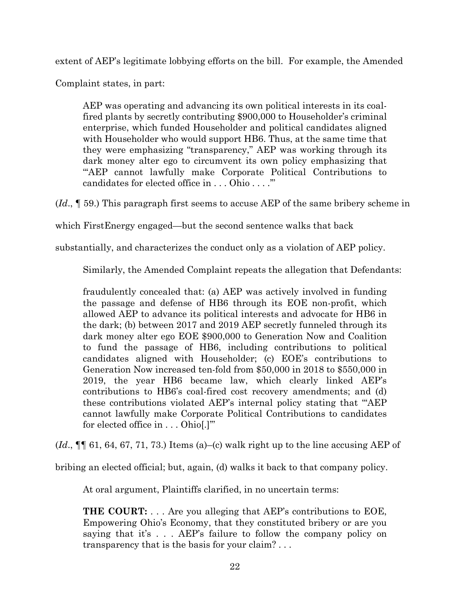extent of AEP's legitimate lobbying efforts on the bill. For example, the Amended

Complaint states, in part:

AEP was operating and advancing its own political interests in its coalfired plants by secretly contributing \$900,000 to Householder's criminal enterprise, which funded Householder and political candidates aligned with Householder who would support HB6. Thus, at the same time that they were emphasizing "transparency," AEP was working through its dark money alter ego to circumvent its own policy emphasizing that "AEP cannot lawfully make Corporate Political Contributions to candidates for elected office in . . . Ohio . . . .'"

(*Id*., ¶ 59.) This paragraph first seems to accuse AEP of the same bribery scheme in

which FirstEnergy engaged—but the second sentence walks that back

substantially, and characterizes the conduct only as a violation of AEP policy.

Similarly, the Amended Complaint repeats the allegation that Defendants:

fraudulently concealed that: (a) AEP was actively involved in funding the passage and defense of HB6 through its EOE non-profit, which allowed AEP to advance its political interests and advocate for HB6 in the dark; (b) between 2017 and 2019 AEP secretly funneled through its dark money alter ego EOE \$900,000 to Generation Now and Coalition to fund the passage of HB6, including contributions to political candidates aligned with Householder; (c) EOE's contributions to Generation Now increased ten-fold from \$50,000 in 2018 to \$550,000 in 2019, the year HB6 became law, which clearly linked AEP's contributions to HB6's coal-fired cost recovery amendments; and (d) these contributions violated AEP's internal policy stating that "'AEP cannot lawfully make Corporate Political Contributions to candidates for elected office in . . . Ohio[.]'"

(*Id*., ¶¶ 61, 64, 67, 71, 73.) Items (a)–(c) walk right up to the line accusing AEP of

bribing an elected official; but, again, (d) walks it back to that company policy.

At oral argument, Plaintiffs clarified, in no uncertain terms:

**THE COURT:** . . . Are you alleging that AEP's contributions to EOE, Empowering Ohio's Economy, that they constituted bribery or are you saying that it's . . . AEP's failure to follow the company policy on transparency that is the basis for your claim? . . .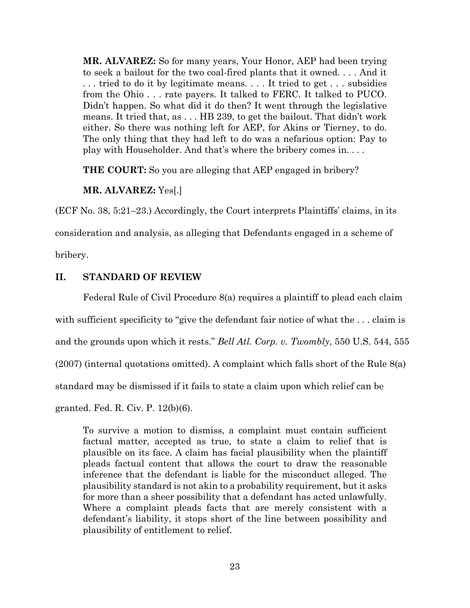**MR. ALVAREZ:** So for many years, Your Honor, AEP had been trying to seek a bailout for the two coal-fired plants that it owned. . . . And it . . . tried to do it by legitimate means. . . . It tried to get . . . subsidies from the Ohio . . . rate payers. It talked to FERC. It talked to PUCO. Didn't happen. So what did it do then? It went through the legislative means. It tried that, as . . . HB 239, to get the bailout. That didn't work either. So there was nothing left for AEP, for Akins or Tierney, to do. The only thing that they had left to do was a nefarious option: Pay to play with Householder. And that's where the bribery comes in. . . .

**THE COURT:** So you are alleging that AEP engaged in bribery?

**MR. ALVAREZ:** Yes[.]

(ECF No. 38, 5:21–23.) Accordingly, the Court interprets Plaintiffs' claims, in its

consideration and analysis, as alleging that Defendants engaged in a scheme of

bribery.

#### **II. STANDARD OF REVIEW**

Federal Rule of Civil Procedure 8(a) requires a plaintiff to plead each claim with sufficient specificity to "give the defendant fair notice of what the ... claim is and the grounds upon which it rests." *Bell Atl. Corp. v. Twombly*, 550 U.S. 544, 555 (2007) (internal quotations omitted). A complaint which falls short of the Rule 8(a) standard may be dismissed if it fails to state a claim upon which relief can be granted. Fed. R. Civ. P. 12(b)(6).

To survive a motion to dismiss, a complaint must contain sufficient factual matter, accepted as true, to state a claim to relief that is plausible on its face. A claim has facial plausibility when the plaintiff pleads factual content that allows the court to draw the reasonable inference that the defendant is liable for the misconduct alleged. The plausibility standard is not akin to a probability requirement, but it asks for more than a sheer possibility that a defendant has acted unlawfully. Where a complaint pleads facts that are merely consistent with a defendant's liability, it stops short of the line between possibility and plausibility of entitlement to relief.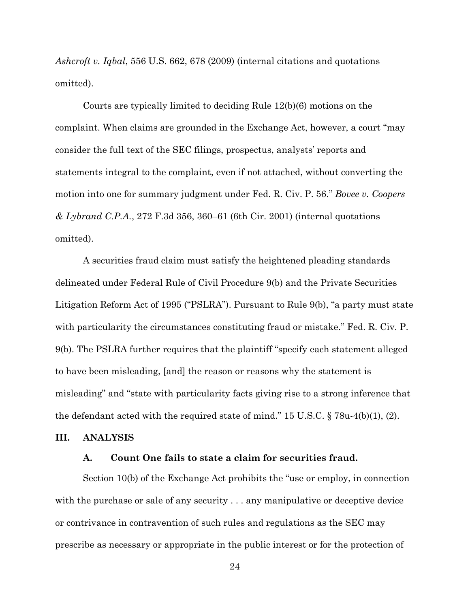*Ashcroft v. Iqbal*, 556 U.S. 662, 678 (2009) (internal citations and quotations omitted).

Courts are typically limited to deciding Rule 12(b)(6) motions on the complaint. When claims are grounded in the Exchange Act, however, a court "may consider the full text of the SEC filings, prospectus, analysts' reports and statements integral to the complaint, even if not attached, without converting the motion into one for summary judgment under Fed. R. Civ. P. 56." *Bovee v. Coopers & Lybrand C.P.A.*, 272 F.3d 356, 360–61 (6th Cir. 2001) (internal quotations omitted).

A securities fraud claim must satisfy the heightened pleading standards delineated under Federal Rule of Civil Procedure 9(b) and the Private Securities Litigation Reform Act of 1995 ("PSLRA"). Pursuant to Rule 9(b), "a party must state with particularity the circumstances constituting fraud or mistake." Fed. R. Civ. P. 9(b). The PSLRA further requires that the plaintiff "specify each statement alleged to have been misleading, [and] the reason or reasons why the statement is misleading" and "state with particularity facts giving rise to a strong inference that the defendant acted with the required state of mind." 15 U.S.C. § 78u-4(b)(1), (2).

#### **III. ANALYSIS**

### **A. Count One fails to state a claim for securities fraud.**

Section 10(b) of the Exchange Act prohibits the "use or employ, in connection with the purchase or sale of any security . . . any manipulative or deceptive device or contrivance in contravention of such rules and regulations as the SEC may prescribe as necessary or appropriate in the public interest or for the protection of

24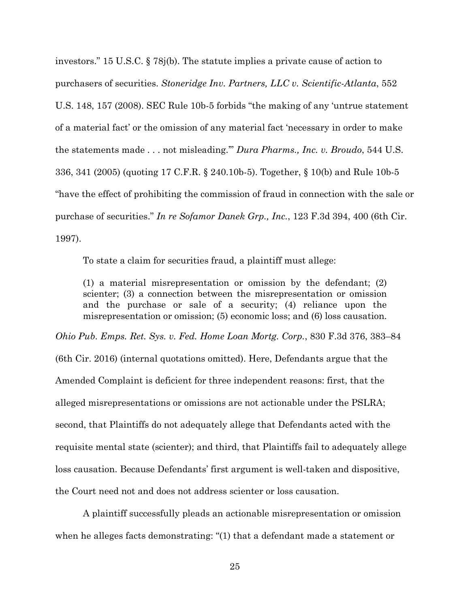investors." 15 U.S.C. § 78j(b). The statute implies a private cause of action to purchasers of securities. *Stoneridge Inv. Partners, LLC v. Scientific-Atlanta*, 552 U.S. 148, 157 (2008). SEC Rule 10b-5 forbids "the making of any 'untrue statement of a material fact' or the omission of any material fact 'necessary in order to make the statements made . . . not misleading.'" *Dura Pharms., Inc. v. Broudo*, 544 U.S. 336, 341 (2005) (quoting 17 C.F.R. § 240.10b-5). Together, § 10(b) and Rule 10b-5 "have the effect of prohibiting the commission of fraud in connection with the sale or purchase of securities." *In re Sofamor Danek Grp., Inc.*, 123 F.3d 394, 400 (6th Cir. 1997).

To state a claim for securities fraud, a plaintiff must allege:

(1) a material misrepresentation or omission by the defendant; (2) scienter; (3) a connection between the misrepresentation or omission and the purchase or sale of a security; (4) reliance upon the misrepresentation or omission; (5) economic loss; and (6) loss causation.

*Ohio Pub. Emps. Ret. Sys. v. Fed. Home Loan Mortg. Corp.*, 830 F.3d 376, 383–84

(6th Cir. 2016) (internal quotations omitted). Here, Defendants argue that the Amended Complaint is deficient for three independent reasons: first, that the alleged misrepresentations or omissions are not actionable under the PSLRA; second, that Plaintiffs do not adequately allege that Defendants acted with the requisite mental state (scienter); and third, that Plaintiffs fail to adequately allege loss causation. Because Defendants' first argument is well-taken and dispositive, the Court need not and does not address scienter or loss causation.

A plaintiff successfully pleads an actionable misrepresentation or omission when he alleges facts demonstrating: "(1) that a defendant made a statement or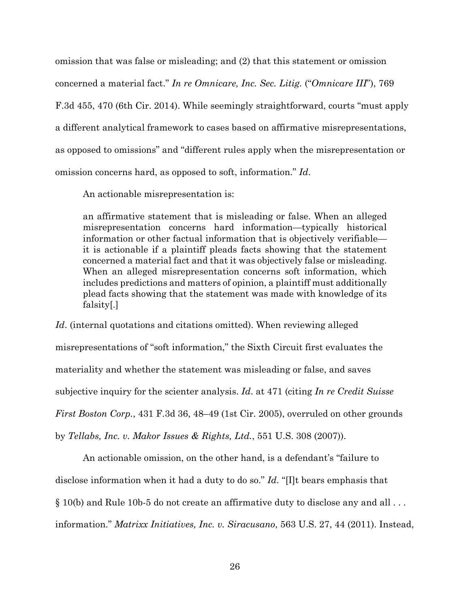omission that was false or misleading; and (2) that this statement or omission concerned a material fact." *In re Omnicare, Inc. Sec. Litig.* ("*Omnicare III*"), 769 F.3d 455, 470 (6th Cir. 2014). While seemingly straightforward, courts "must apply a different analytical framework to cases based on affirmative misrepresentations, as opposed to omissions" and "different rules apply when the misrepresentation or omission concerns hard, as opposed to soft, information." *Id*.

An actionable misrepresentation is:

an affirmative statement that is misleading or false. When an alleged misrepresentation concerns hard information—typically historical information or other factual information that is objectively verifiable it is actionable if a plaintiff pleads facts showing that the statement concerned a material fact and that it was objectively false or misleading. When an alleged misrepresentation concerns soft information, which includes predictions and matters of opinion, a plaintiff must additionally plead facts showing that the statement was made with knowledge of its falsity[.]

*Id*. (internal quotations and citations omitted). When reviewing alleged misrepresentations of "soft information," the Sixth Circuit first evaluates the materiality and whether the statement was misleading or false, and saves subjective inquiry for the scienter analysis. *Id*. at 471 (citing *In re Credit Suisse First Boston Corp.*, 431 F.3d 36, 48–49 (1st Cir. 2005), overruled on other grounds by *Tellabs, Inc. v. Makor Issues & Rights, Ltd.*, 551 U.S. 308 (2007)).

An actionable omission, on the other hand, is a defendant's "failure to disclose information when it had a duty to do so." *Id*. "[I]t bears emphasis that

§ 10(b) and Rule 10b-5 do not create an affirmative duty to disclose any and all . . .

information." *Matrixx Initiatives, Inc. v. Siracusano*, 563 U.S. 27, 44 (2011). Instead,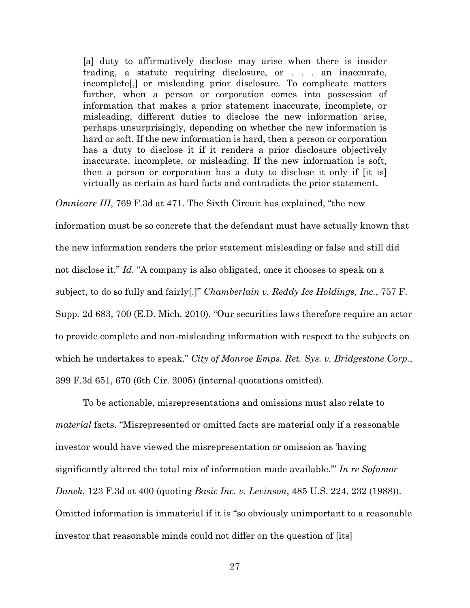[a] duty to affirmatively disclose may arise when there is insider trading, a statute requiring disclosure, or . . . an inaccurate, incomplete[,] or misleading prior disclosure. To complicate matters further, when a person or corporation comes into possession of information that makes a prior statement inaccurate, incomplete, or misleading, different duties to disclose the new information arise, perhaps unsurprisingly, depending on whether the new information is hard or soft. If the new information is hard, then a person or corporation has a duty to disclose it if it renders a prior disclosure objectively inaccurate, incomplete, or misleading. If the new information is soft, then a person or corporation has a duty to disclose it only if [it is] virtually as certain as hard facts and contradicts the prior statement.

*Omnicare III*, 769 F.3d at 471. The Sixth Circuit has explained, "the new

information must be so concrete that the defendant must have actually known that the new information renders the prior statement misleading or false and still did not disclose it." *Id*. "A company is also obligated, once it chooses to speak on a subject, to do so fully and fairly[.]" *Chamberlain v. Reddy Ice Holdings, Inc.*, 757 F. Supp. 2d 683, 700 (E.D. Mich. 2010). "Our securities laws therefore require an actor to provide complete and non-misleading information with respect to the subjects on which he undertakes to speak." *City of Monroe Emps. Ret. Sys. v. Bridgestone Corp.*, 399 F.3d 651, 670 (6th Cir. 2005) (internal quotations omitted).

To be actionable, misrepresentations and omissions must also relate to *material* facts. "Misrepresented or omitted facts are material only if a reasonable investor would have viewed the misrepresentation or omission as 'having significantly altered the total mix of information made available.'" *In re Sofamor Danek*, 123 F.3d at 400 (quoting *Basic Inc. v. Levinson*, 485 U.S. 224, 232 (1988)). Omitted information is immaterial if it is "so obviously unimportant to a reasonable investor that reasonable minds could not differ on the question of [its]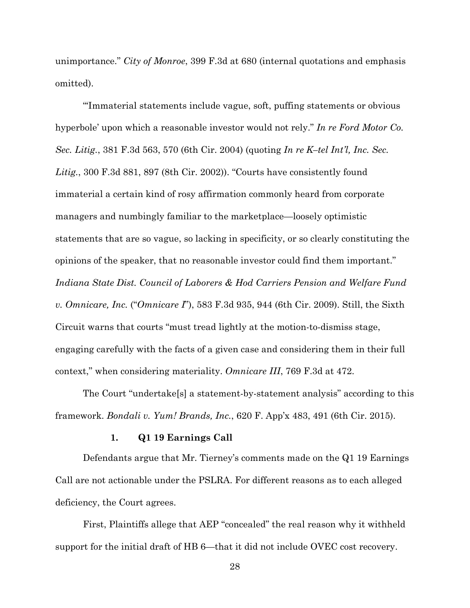unimportance." *City of Monroe*, 399 F.3d at 680 (internal quotations and emphasis omitted).

"'Immaterial statements include vague, soft, puffing statements or obvious hyperbole' upon which a reasonable investor would not rely." *In re Ford Motor Co. Sec. Litig.*, 381 F.3d 563, 570 (6th Cir. 2004) (quoting *In re K–tel Int'l, Inc. Sec. Litig.*, 300 F.3d 881, 897 (8th Cir. 2002)). "Courts have consistently found immaterial a certain kind of rosy affirmation commonly heard from corporate managers and numbingly familiar to the marketplace—loosely optimistic statements that are so vague, so lacking in specificity, or so clearly constituting the opinions of the speaker, that no reasonable investor could find them important." *Indiana State Dist. Council of Laborers & Hod Carriers Pension and Welfare Fund v. Omnicare, Inc.* ("*Omnicare I*"), 583 F.3d 935, 944 (6th Cir. 2009). Still, the Sixth Circuit warns that courts "must tread lightly at the motion-to-dismiss stage, engaging carefully with the facts of a given case and considering them in their full context," when considering materiality. *Omnicare III*, 769 F.3d at 472.

The Court "undertake[s] a statement-by-statement analysis" according to this framework. *Bondali v. Yum! Brands, Inc.*, 620 F. App'x 483, 491 (6th Cir. 2015).

#### **1. Q1 19 Earnings Call**

Defendants argue that Mr. Tierney's comments made on the Q1 19 Earnings Call are not actionable under the PSLRA. For different reasons as to each alleged deficiency, the Court agrees.

First, Plaintiffs allege that AEP "concealed" the real reason why it withheld support for the initial draft of HB 6—that it did not include OVEC cost recovery.

28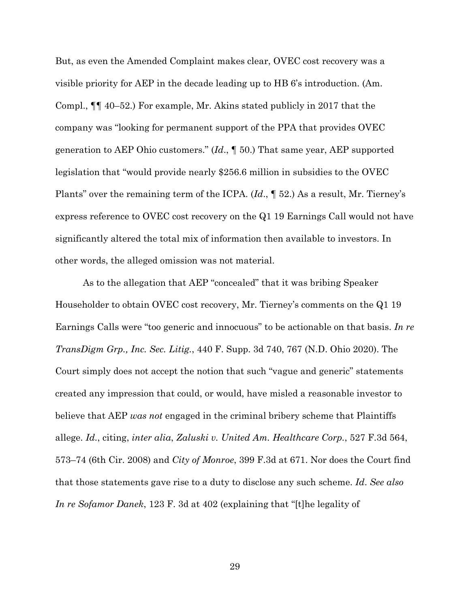But, as even the Amended Complaint makes clear, OVEC cost recovery was a visible priority for AEP in the decade leading up to HB 6's introduction. (Am. Compl., ¶¶ 40–52.) For example, Mr. Akins stated publicly in 2017 that the company was "looking for permanent support of the PPA that provides OVEC generation to AEP Ohio customers." (*Id*., ¶ 50.) That same year, AEP supported legislation that "would provide nearly \$256.6 million in subsidies to the OVEC Plants" over the remaining term of the ICPA. (*Id*., ¶ 52.) As a result, Mr. Tierney's express reference to OVEC cost recovery on the Q1 19 Earnings Call would not have significantly altered the total mix of information then available to investors. In other words, the alleged omission was not material.

As to the allegation that AEP "concealed" that it was bribing Speaker Householder to obtain OVEC cost recovery, Mr. Tierney's comments on the Q1 19 Earnings Calls were "too generic and innocuous" to be actionable on that basis. *In re TransDigm Grp., Inc. Sec. Litig.*, 440 F. Supp. 3d 740, 767 (N.D. Ohio 2020). The Court simply does not accept the notion that such "vague and generic" statements created any impression that could, or would, have misled a reasonable investor to believe that AEP *was not* engaged in the criminal bribery scheme that Plaintiffs allege. *Id.*, citing, *inter alia*, *Zaluski v. United Am. Healthcare Corp.*, 527 F.3d 564, 573–74 (6th Cir. 2008) and *City of Monroe*, 399 F.3d at 671. Nor does the Court find that those statements gave rise to a duty to disclose any such scheme. *Id*. *See also In re Sofamor Danek*, 123 F. 3d at 402 (explaining that "[t]he legality of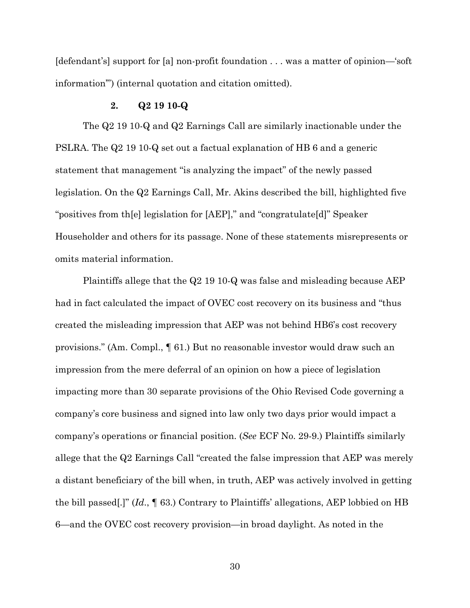[defendant's] support for [a] non-profit foundation . . . was a matter of opinion—'soft information'") (internal quotation and citation omitted).

#### **2. Q2 19 10-Q**

The Q2 19 10-Q and Q2 Earnings Call are similarly inactionable under the PSLRA. The Q2 19 10-Q set out a factual explanation of HB 6 and a generic statement that management "is analyzing the impact" of the newly passed legislation. On the Q2 Earnings Call, Mr. Akins described the bill, highlighted five "positives from th[e] legislation for [AEP]," and "congratulate[d]" Speaker Householder and others for its passage. None of these statements misrepresents or omits material information.

Plaintiffs allege that the  $Q2$  19 10-Q was false and misleading because AEP had in fact calculated the impact of OVEC cost recovery on its business and "thus created the misleading impression that AEP was not behind HB6's cost recovery provisions." (Am. Compl., ¶ 61.) But no reasonable investor would draw such an impression from the mere deferral of an opinion on how a piece of legislation impacting more than 30 separate provisions of the Ohio Revised Code governing a company's core business and signed into law only two days prior would impact a company's operations or financial position. (*See* ECF No. 29-9.) Plaintiffs similarly allege that the Q2 Earnings Call "created the false impression that AEP was merely a distant beneficiary of the bill when, in truth, AEP was actively involved in getting the bill passed[.]" (*Id*., ¶ 63.) Contrary to Plaintiffs' allegations, AEP lobbied on HB 6—and the OVEC cost recovery provision—in broad daylight. As noted in the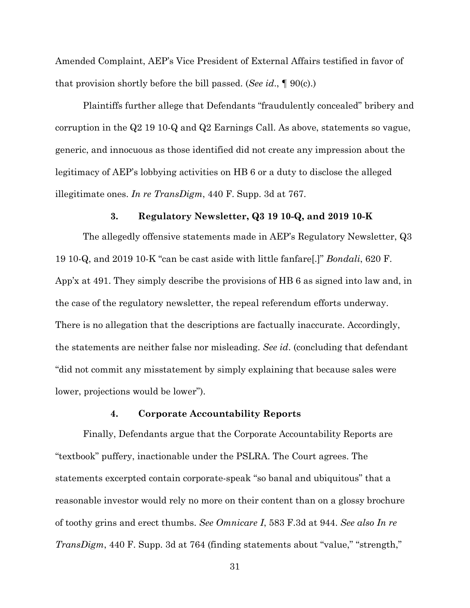Amended Complaint, AEP's Vice President of External Affairs testified in favor of that provision shortly before the bill passed. (*See id*., ¶ 90(c).)

Plaintiffs further allege that Defendants "fraudulently concealed" bribery and corruption in the Q2 19 10-Q and Q2 Earnings Call. As above, statements so vague, generic, and innocuous as those identified did not create any impression about the legitimacy of AEP's lobbying activities on HB 6 or a duty to disclose the alleged illegitimate ones. *In re TransDigm*, 440 F. Supp. 3d at 767.

#### **3. Regulatory Newsletter, Q3 19 10-Q, and 2019 10-K**

The allegedly offensive statements made in AEP's Regulatory Newsletter, Q3 19 10-Q, and 2019 10-K "can be cast aside with little fanfare[.]" *Bondali*, 620 F. App'x at 491. They simply describe the provisions of HB 6 as signed into law and, in the case of the regulatory newsletter, the repeal referendum efforts underway. There is no allegation that the descriptions are factually inaccurate. Accordingly, the statements are neither false nor misleading. *See id*. (concluding that defendant "did not commit any misstatement by simply explaining that because sales were lower, projections would be lower").

#### **4. Corporate Accountability Reports**

Finally, Defendants argue that the Corporate Accountability Reports are "textbook" puffery, inactionable under the PSLRA. The Court agrees. The statements excerpted contain corporate-speak "so banal and ubiquitous" that a reasonable investor would rely no more on their content than on a glossy brochure of toothy grins and erect thumbs. *See Omnicare I*, 583 F.3d at 944. *See also In re TransDigm*, 440 F. Supp. 3d at 764 (finding statements about "value," "strength,"

31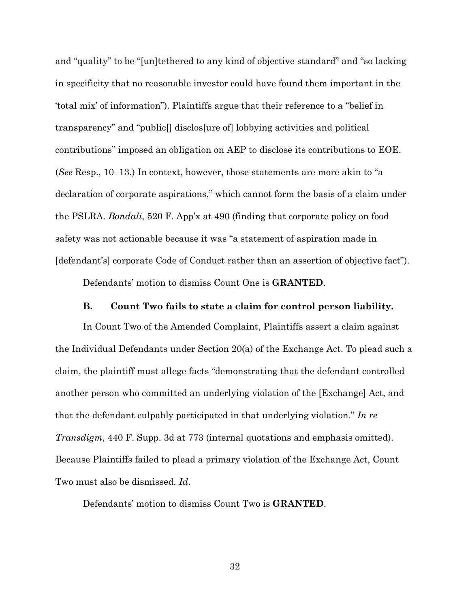and "quality" to be "[un]tethered to any kind of objective standard" and "so lacking in specificity that no reasonable investor could have found them important in the 'total mix' of information"). Plaintiffs argue that their reference to a "belief in transparency" and "public[] disclos[ure of] lobbying activities and political contributions" imposed an obligation on AEP to disclose its contributions to EOE. (*See* Resp., 10–13.) In context, however, those statements are more akin to "a declaration of corporate aspirations," which cannot form the basis of a claim under the PSLRA. *Bondali*, 520 F. App'x at 490 (finding that corporate policy on food safety was not actionable because it was "a statement of aspiration made in [defendant's] corporate Code of Conduct rather than an assertion of objective fact").

Defendants' motion to dismiss Count One is **GRANTED**.

#### **B. Count Two fails to state a claim for control person liability.**

In Count Two of the Amended Complaint, Plaintiffs assert a claim against the Individual Defendants under Section 20(a) of the Exchange Act. To plead such a claim, the plaintiff must allege facts "demonstrating that the defendant controlled another person who committed an underlying violation of the [Exchange] Act, and that the defendant culpably participated in that underlying violation." *In re Transdigm*, 440 F. Supp. 3d at 773 (internal quotations and emphasis omitted). Because Plaintiffs failed to plead a primary violation of the Exchange Act, Count Two must also be dismissed. *Id*.

Defendants' motion to dismiss Count Two is **GRANTED**.

32